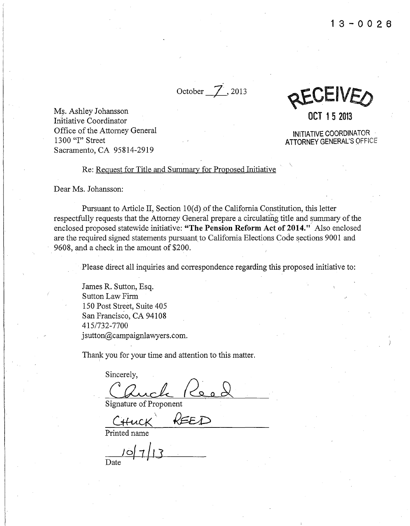October *J\_,* <sup>2013</sup>

REVEIVED **OCT 1 5 2013** 

Ms. Ashley Johansson Initiative Coordinator Office of the Attorney General 1300 "I" Street Sacramento, CA 95814-2919

INITIATIVE COORDINATOR **ATTORNEY** GENERAL'S OFFICE

Re: Request for Title and Summary for Proposed Initiative

Dear Ms. Johansson:

Pursuant to Article II, Section  $10(d)$  of the California Constitution, this letter respectfully requests that the Attorney General prepare a circulating title and summary of the enclosed proposed statewide initiative: **"The Pension Reform Act of 2014."** Also enclosed are the required signed statements pursuant to California Elections Code sections 9001 and 9608, and a check in the amount of \$200.

Please direct all inquiries and correspondence regarding this proposed initiative to:

James R. Sutton, Esq. Sutton Law Firm 150 Post Street, Suite 405 San Francisco, CA 94108 415/732-7700 j sutton@campaignlawyers.com.

Thank you for your time and attention to this matter.

Sincerely, Cauch Reed

REED

Printed name

Date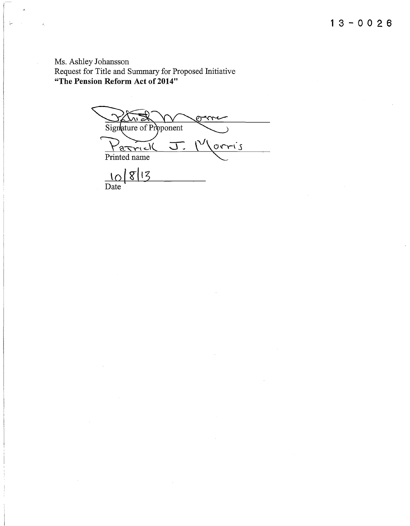Ms. Ashley Johansson Request for Title and Summary for Proposed Initiative **"The Pension Reform Act of2014"** 

 $\lambda$ 

ţ.

Signature of Proponent  $\frac{P_{\text{arrows}}}{\text{Printed name}}$   $\frac{10}{813}$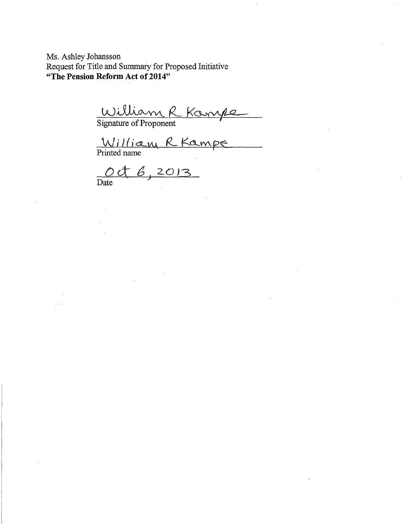Ms. Ashley Johansson Request for Title and Summary for Proposed Initiative **"The Pension Reform Act of 2014"** 

<u>William R Kompe</u>

Printed name

0 et 6, 2013

Date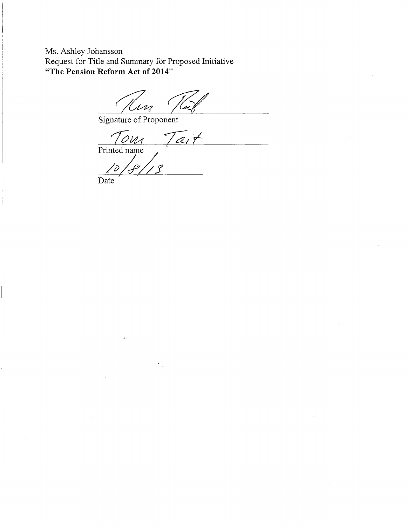Ms. Ashley Johansson Request for Title and Summary for Proposed Initiative **"The Pension Reform Act of2014"** 

Signature of Proponent

Tom Tait Printed name

 $\overline{\mathcal{S}}$  $\angle$ 

Date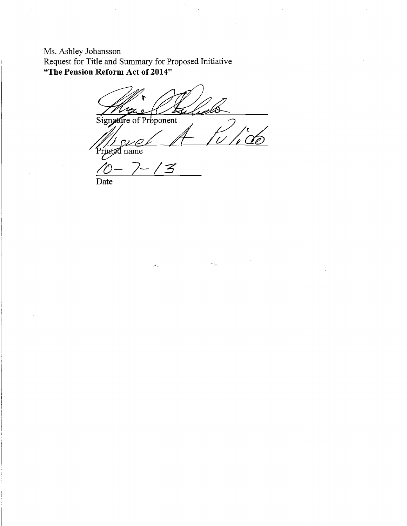Ms. Ashley Johansson Request for Title and Summary for Proposed Initiative **"The Pension Reform Act of 2014"** 

<u>i pl</u> Signature of Proponent

 $\mathcal{A}_{\frac{1}{2},\alpha}$ 

rinted name

*/()-* 7-/3' Date

 $\frac{1}{2} \frac{1}{2} \frac{1}{2}$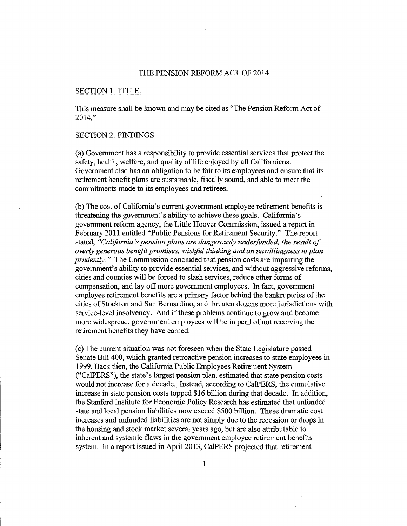### THE PENSION REFORM ACT OF 2014

# SECTION 1. TITLE.

This measure shall be known and may be cited as "The Pension Reform Act of 2014,"

#### SECTION 2. FINDINGS.

(a) Government has a responsibility to provide essential services that protect the safety, health, welfare, and quality of life enjoyed by all Californians. Government also has an obligation to be fair to its employees and ensure that its retirement benefit plans are sustainable, fiscally sound, and able to meet the commitments made to its employees and retirees.

(b) The cost of California's current government employee retirement benefits is threatening the government's ability to achieve these goals. California's government reform agency, the Little Hoover Commission, issued a report in February 2011 entitled "Public Pensions for Retirement Security." The report stated, "California's pension plans are dangerously underfunded, the result of *overly generous benefit promises, wisJiful thinking and an unwillingness to plan prudently.* " The Commission concluded that pension costs are impairing the government's ability to provide essential services, and without aggressive reforms, cities and counties will be forced to slash services, reduce other forms of compensation, and lay off more government employees. In fact, government empioyee retirement benefits are a primary factor behind the bankruptcies of the cities of Stockton and San Bernardino, and threaten dozens more jurisdictions with service-level insolvency. And if these problems continue to grow and become more widespread, government employees will be in peril of not receiving the retirement benefits they have earned.

(c) The current situation was not foreseen when the State Legislature passed Senate Bi11400, which granted retroactive pension increases to state employees in 1999. Back then, the California Public Employees Retirement System ("CalPERS"), the state's largest pension plan; estimated that state pension costs would not increase for a decade. Instead, according to CalPERS, the cumulative increase in state pension costs topped \$16 billion during that decade. In addition, the Stanford Institute for Economic Policy Research has estimated that unfunded state and local pension liabilities now exceed \$500 billion. These dramatic cost increases and unfunded liabilities are not simply due to the recession or drops in the housing and stock market several years ago, but are also attributable to inherent and systemic flaws in the government employee retirement benefits system. In a report issued in April 2013, CalPERS projected that retirement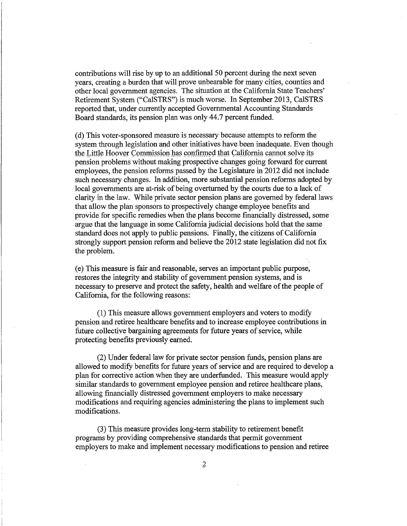contributions will rise by up to an additional 50 percent during the next seven years, creating a burden that will prove unbearable for many cities, counties and other local government agencies. The situation at the California State Teachers' Retirement System ("CalSTRS") is much worse. In September 2013, CalSTRS reported that, under currently accepted Governmental Accounting Standards Board standards, its pension plan was only 44.7 percent funded.

(d) This voter-sponsored measure is necessary because attempts to reform the system through legislation and other initiatives have been inadequate. Even though the Little Hoover Commission has confirmed that California cannot solve its pension problems without making prospective changes going forward for current employees, the pension reforms passed by the Legislature in 2012 did not include such necessary changes. In addition, more substantial pension reforms adopted by local governments are at-risk of being overturned by the courts due to a lack of clarity in the law. While private sector pension plans are governed by federal laws that allow the plan sponsors to prospectively change employee benefits and provide for specific remedies when the plans become financially distressed, some argue that the language in some California judicial decisions hold that the same standard does not apply to public pensions. Finally, the citizens of California strongly support pension reform and believe the 2012 state legislation did not fix the problem.

(e) This measure is fair and reasonable, serves an important public purpose, restores the integrity and stability of government pension systems, and is necessary to preserve and protect the safety, health and welfare of the people of California, for the following reasons:

(1) This measure allows government employers and voters to modify pension and retiree healthcare benefits and to increase employee contributions in future collective bargaining agreements for future years of service, while protecting benefits previously earned.

(2) Under federal law for private sector pension funds, pension plans are allowed to modify benefits for future years of service and are required to develop a plan for corrective action when they are underfunded. This measure would apply similar standards to government employee pension and retiree healthcare plans, allowing financially distressed government employers to make necessary modifications and requiring agencies administering the plans to implement such modifications.

(3) This measure provides long-term stability to retirement benefit programs by providing comprehensive standards that permit government employers to make and implement necessary modifications to pension and retiree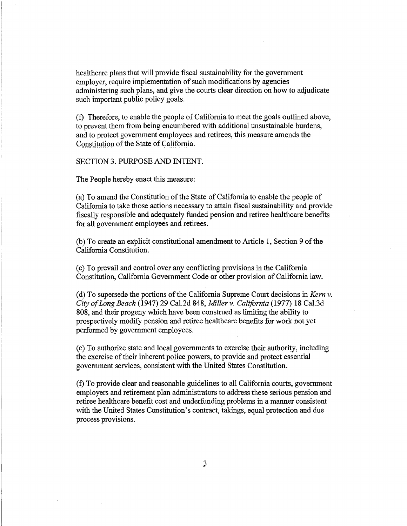healthcare plans that will provide fiscal sustainability for the government employer, require implementation of such modifications by agencies administering such plans, and give the courts clear direction on how to adjudicate such important public policy goals.

(f) Therefore, to enable the people of California to meet the \_goals outlined above, to prevent them from being encumbered with additional unsustainable burdens, and to protect government employees and retirees, this measure amends the Constitution of the State of California.

SECTION 3. PURPOSE AND INTENT.

The People hereby enact this measure:

(a) To amend the Constitution of the State of California to enable the people of California to take those actions necessary to attain fiscal sustainability and provide fiscally responsible and adequately funded pension and retiree healthcare benefits for all government employees and retirees.

(b) To create an explicit constitutional amendment to Article I, Section 9 of the California Constitution.

(c) To prevail and control over any conflicting provisions in the California Constitution, California Government Code or-other provision of California law.

(d) To supersede the portions of the California Supreme Court decisions in *Kern v. City of Long Beach* (i 94 7) 29 Cal.2d 848, *Miller* v. *California* (1977) 18 Cal.3d 808, and their progeny which have been construed as limiting the ability to prospectively modify pension and retiree healthcare benefits for work not yet performed by government employees.

(e) To authorize state and localgovernments to exercise their authority, including the exercise of their inherent police powers, to provide and protect essential government services, consistent with the United States Constitution.

(f) To provide clear and reasonable guidelines to all California courts, government employers and retirement plan administrators to address these serious pension and retiree healthcare benefit cost and underfunding problems in a manner consistent with the United States Constitution's contract, takings, equal protection and due process provisions.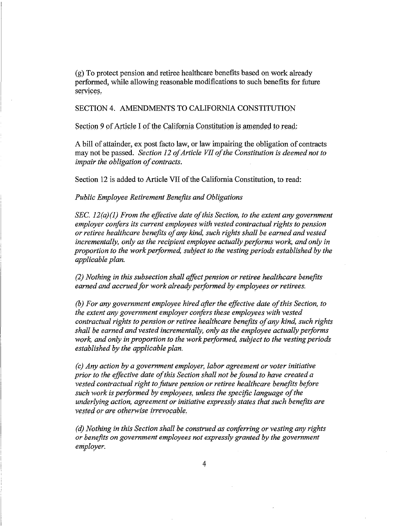(g) To protect pension and retiree healthcare benefits based on work already performed, while allowing reasonable modifications to such benefits for future services.

SECTION 4. AMENDMENTS TO CALIFORNIA CONSTITUTION

Section 9 of Article I of the California Constitution is amended to read:

A bill of attainder, ex post facto law, or law impairing the obligation of contracts may not be passed. *Section 12 of Article VII of the Constitution is deemed not to impair the obligation of contracts.* 

Section 12 is added to Article VII of the California Constitution, to read:

*Public Employee Retirement Benefits and Obligations* 

*SEC. 12(a)(l) From the effective date of this Section, to the extent any government employer corifers its current employees with vested contractual rights to pension or retiree healthcare benefits of any kind, such rights shall be earned and vested incrementally, only as the recipient employee actually performs work, and only in proportion to the work performed, subject to the vesting periods established by the applicable plan.* 

*(2) Nothing in this subsection shall affect pension or retiree healthcare benefits*  earned and accrued for work already performed by employees or retirees.

*(b) For any government employee hired after the effective date of this Section, to*  the extent any government employer confers these employees with vested *contractual rights to pension or retiree healthcare benefits of any kind, such rights shall be earned and vested incrementally, only as the employee actually performs work, and only in proportion to the work performed, subject to the vesting periods established by the applicable plan.* 

*(c) Any action by a government employer, labor agreement or voter initiative prior to the effictive date of this Section shall not be found to have created a vested contractual right to future pension or retiree healthcare benefits before such work is performed by employees, unless the specific language of the underlying action, agreement or initiative expressly states that such benefits are*  vested or are otherwise irrevocable.

*(d) Nothing in this Section shall be construed as coriferring or vesting any rights or benefits on government employees not expressly granted by the government employer.*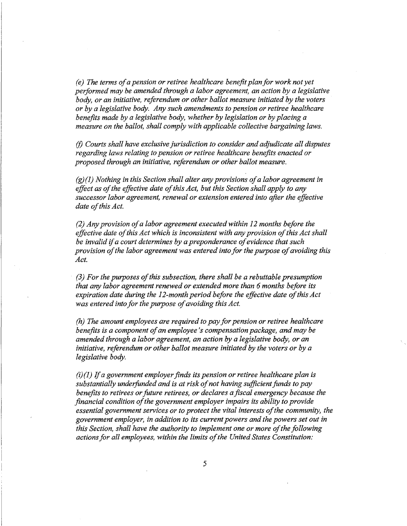*(e) The terms of a pension or retiree healthcare benefit plan for work not yet performed may be amended through a labor agreement, an action by a legislative body, or an initiative, referendum or other ballot measure initiated by the voters or by a legislative body. Any such amendments to pension or retiree healthcare benefits made by a legislative body, whether by legislation or by placing a measure on the ballot, shall comply with applicable collective bargaining laws.* 

(f) *Courts shall have exclusive jurisdiction to consider and adjudicate all disputes regarding laws relating to pension or retiree healthcare benefits enacted or proposed through an initiative, referendum or other ballot measure.* 

*(g)(1) Nothing in this Section shall alter any provisions of a labor agreement in effect as of the effective date of this Act, but this Section shall apply to any successor labor agreement, renewal or extension entered into after the effective*  date of this Act.

*(2) Any provision of a labor agreement executed within 12 months before the effoctive date of this Act which is inconsistent with any provision of this Act shall be invalid* if *a court determines by a preponderance of evidence that such provision of the labor agreement was entered into for the purpose of avoiding this*  $Act.$ 

*(3) For the purposes of this subsection, there shall be a rebuttable presumption that any labor agreement renewed or extended more than 6 months before its expiration date during the 12-month period before the effective date of this Act*  was entered into for the purpose of avoiding this Act.

*(h) The amount employees are required to pay for pension or retiree healthcare benefits is a component of an employee's compensation package, and may be amended through a labor pgreement, an action by a legislative body, or an initiative, referendum or other ballot measure initiated by the voters or by a legislative body.* 

*(i)(1)* If *a government employer finds its pension or retiree healthcare plan is substantially underfunded and is at risk of not having sufficient funds to pay benefits to retirees or future retirees, or declares a fiscal emergency because the financial condition of the government employer impairs its ability io provide essential government services or to protect the vital interests of the community, the government employer, in addition to its current powers and the powers set out in this Section, shall have the authority to implement one or more of the following*  actions for all employees, within the limits of the United States Constitution: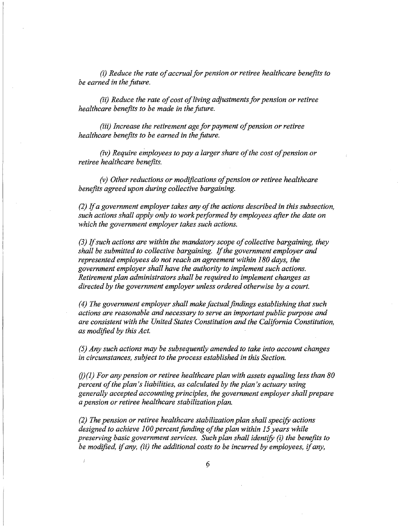*(i) Reduce the rate of accrual for pension or retiree healthcare benefits to be earned in the future.* 

*(ii) Reduce the rate of cost of living adjustments for pension or retiree healthcare benefits to be made in the future.* 

*(iii) Increase the retirement age for payment of pension or retiree healthcare benefits to be earned in the future.* 

*(iv) Require employees to pay a larger share of the cost of pension or retiree healthcare benefits.* 

*(v) Other reductions or modifications of pension or retiree healthcare benefits agreed upon during collective bargaining.* 

*(2)* If *a government employer takes any of the actions described in this subsection, such actions shall apply only to work performed by employees after the date on which the government employer takes such actions.* 

*(3)* If *such actions are within the mandatory scope of collective bargaining, they shall be submitted to collective bargaining.* If *the government employer and represented employees do not reach an agreement within 180 days, the government employer shall have the authority to implement such actions. Retirement plan administrators shall be required to implement changes as directed by the government employer unless ordered otherwise by a court.* 

*(4) The government employer shall make factual findings establishing that such actions are reasonable and necessary to serve an important public purpose and are consistent with the United States Constitution and the California Constitution, as modified by this Act.* 

*(5) Any such actions may be subsequently amended to take into account changes in circumstances, subject to the process established in this Section.* 

*(j)(1) For any pension or retiree healthcare plan with assets equaling less than 80 percent of the plan's liabilities, as calculated by the plan's actuary using generally accepted accounting principles, the government employer shall prepare a pension or retiree healthcare stabilization plan.* 

*(2) The pension or retiree healthcare stabilization plan shall specify actions designed to achieve 100 percent funding of the plan within 15 years while preserving basic government services. Such plan shall identify (i) the benefits to be modified,* if *any, (ii) the additional costs to be incurred by employees,* if *any,*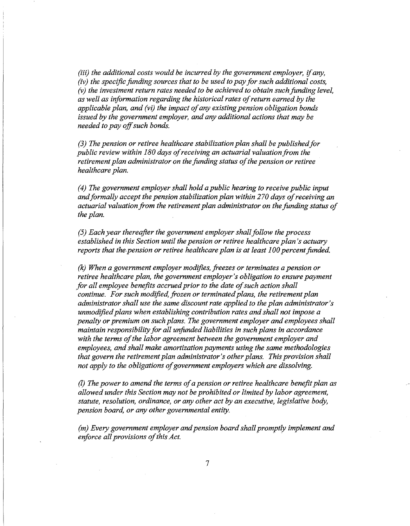*(iii) the additional costs would be incurred by the government employer,* if *any, (iv) the specific funding sources that to be used to pay for such additional costs,*  (v) the investment return rates needed to be achieved to obtain such funding level, *as well as information regarding the historical rates of return earned by the applicable plan, and (vi) the impact of any existing pension obligation bonds issued by the government employer, and any additional actions that may be needed to pay off such bonds.* 

*(3) The pension or retiree healthcare stabilization plan shall be published for public review within 180 days of receiving an actuarial valuation from the retirement plan administrator on the funding status of the pension or retiree healthcare plan.* 

*(4) The government employer shall hold a public hearing to receive public input and formally accept the pension stabilization plan within 270 days of receiving an actuarial valuation from the retirement plan administrator on the funding status of the plan.* 

*(5) Each year thereafter the government employer shall follow the process established in this Section until the pension or retiree healthcare plan's actuary reports that the pension or retiree healthcare plan is at least 100 percent funded.* 

*(k) When a government employer modifies, freezes or terminates a pension or retiree healthcare plan, the government employer's obligation to ensure payment for all employee benefits accrued prior to the date of such action shall ·continue. For such modified, frozen or terminated plans, the retirement plan administrator shall use the same discount rate applied to the plan administrator's unmodified plans when establishing contribution rates and shall not impose a penalty or premium on such plans. The government employer and employees shall maintain responsibility for all unfunded liabilities in such plans in accordance with the terms of the labor agreement between the government employer and employees, and shall make amortization payments using the same methodologies that govern the retirement plan administrator's other plans. This provision shall not apply to the obligations of government employers which are dissolving.* 

(l) *The power to amend the terms of a pension or retiree healthcare benefit plan as allowed under this Section may not be prohibited or limited by labor agreement, statute, resolution, ordinance, or any other act by an executive, legislative body, pension board, or any other governmental entity.* 

*(m) Every government employer and pension board shall promptly implement and enforce all provisions of this Act.*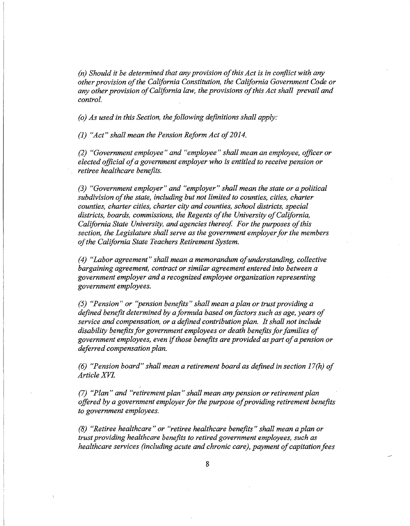*(n)* Should it be determined that any provision of this Act is in conflict with any *other provision of the California Constitution, the California Government Code or any other provision of California law, the provisions of this Act shall prevail and control.* 

*(o) As used in this Section, the following definitions shall apply:* 

*(1)* "Act" shall mean the Pension Reform Act of 2014.

*(2) "Government employee" and "employee" shall mean an employee, officer or elected official of a government employer who is entitled to receive pension or retiree healthcare benefits.* 

*(3) "Government employer" and "employer" shall mean the state or a political subdivision of the state, including but not limited to counties, cities, charter counties, charter cities, charter city and counties, school districts, special districts, boards, commissions, the Regents of the University of California, California State University, and agencies thereof. For the purposes of this section, the Legislature shall serve as the government employerfor the members of the California State Teachers Retirement System.* 

*(4) "Labor agreement" shall mean a memorandum ofunderstanding, collective bargaining agreement, contract or similar agreement entered into between a government employer and a recognized employee organization representing government employees.* 

*(5) "Pension" or "pension benefits" shall mean a plan or trust providing a defined benefit determined by a formula based on factors such as age, years of service and compensation, or a defined contribution plan. It shall not include disability b\_enefits for government employees or death benefits for families of government employees, even if those benefits are provided as part of a pension or deferred compensation plan.* 

*(6) "Pension board" shall mean a retirement board as defined in section 17(h) of ArtideXVL* 

*(7) "Plan" and "retirement plan" shall mean any pension or retirement plan offered by a government employer for the purpose of providing retirement benefits to government employees.* 

*(8) "Retiree healthcare" or "retiree healthcare benefits" shall mean a plan or trust providing healthcare benefits to retired government employees, such as healthcare services (including acute and chronic care), payment of capitation fees*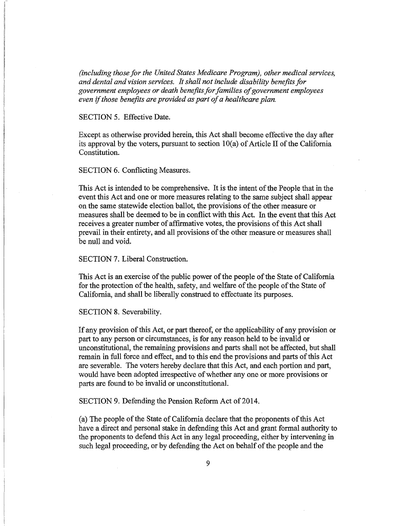*(including those for the United States Medicare Program), other medical services, and dental and vision services. It shall not include disability benefits for government employees or death benefits for families of government employees*  even if *those benefits are provided as part of a healthcare plan.* 

#### SECTION 5. Effective Date.

Except as otherwise provided herein, this Act shall become effective the day after its approval by the voters, pursuant to section  $10(a)$  of Article II of the California Constitution.

## SECTION 6. Conflicting Measures.

This Act is intended to be comprehensive. It is the intent of the People that in the event this Act and one or more measures relating to the same subject shall appear on the same statewide election ballot, the provisions of the other measure or measures shall be deemed to be in conflict with this Act. In the event that this Act receives a greater number of affirmative votes, the provisions of this Act shall prevail in their entirety, and all provisions of the other measure or measures shall be null and void.

#### SECTION 7. Liberal Construction.

This Act is an exercise of the public power of the people of the State of California for the protection of the health, safety, and welfare of the people of the State of California, and shall be liberally construed to effectuate its purposes.

#### SECTION 8. Severability.

If any provision of this Act, or part thereof, or the applicability of any provision or part to any person or circumstances, is for any reason held to be invalid or unconstitutional, the remaining provisions and parts shall not be affected, but shall remain in full force and effect, and to this end the provisions and parts of this Act are severable. The voters hereby declare that this Act, and each portion and part, would have been adopted irrespective of whether any one or more provisions or parts are found to be invalid or unconstitutional.

SECTION 9. Defending the Pension Reform Act of 2014.

(a) The people of the State of California declare that the proponents of this Act have a direct and personal stake in defending this Act and grant formal authority to the proponents to defend this Act in any legal proceeding, either by intervening in such legal proceeding, or by defending the Act on behalf of the people and the